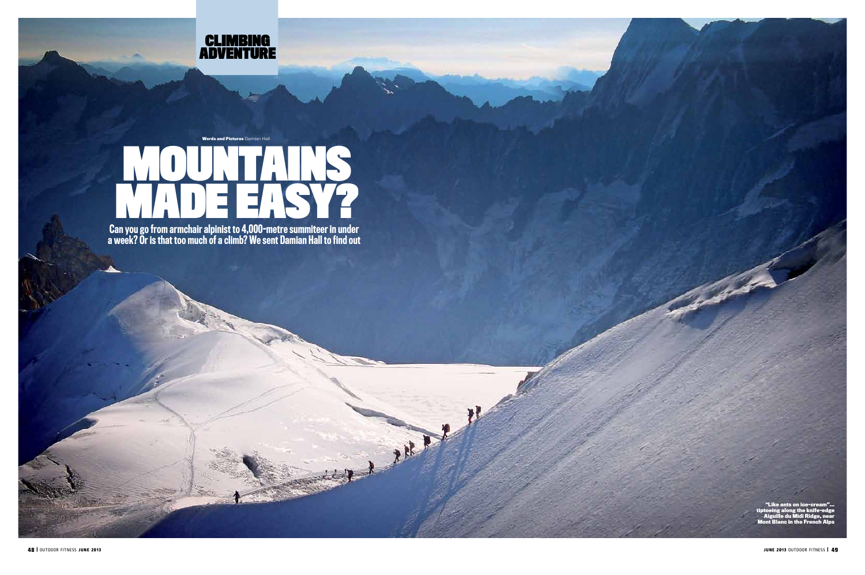

Can you go from armchair alpinist to 4,000-metre summiteer in under a week? Or is that too much of a climb? We sent Damian Hall to find out

Mary !

## mountains MADE EASY? **Words and Pictures** Damian Hall

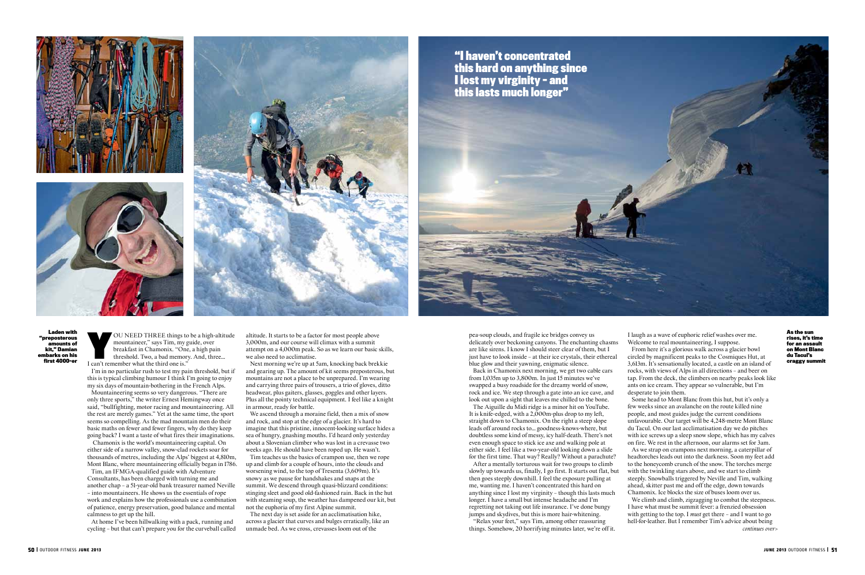OU NEED THREE things to be a high-altitude<br>mountaineer," says Tim, my guide, over<br>breakfast in Chamonix. "One, a high pain<br>threshold. Two, a bad memory. And, three...<br>I can't remember what the third one is." mountaineer," says Tim, my guide, over breakfast in Chamonix. "One, a high pain I can't remember what the third one is."

I'm in no particular rush to test my pain threshold, but if this is typical climbing humour I think I'm going to enjoy

my six days of mountain-bothering in the French Alps. Mountaineering seems so very dangerous. "There are only three sports," the writer Ernest Hemingway once said, "bullfighting, motor racing and mountaineering. All the rest are merely games." Yet at the same time, the sport seems so compelling. As the mad mountain men do their basic maths on fewer and fewer fingers, why do they keep going back? I want a taste of what fires their imaginations.

 Chamonix is the world's mountaineering capital. On either side of a narrow valley, snow-clad rockets soar for thousands of metres, including the Alps' biggest at 4,810m, Mont Blanc, where mountaineering officially began in 1786.

Tim, an IFMGA-qualified guide with Adventure Consultants, has been charged with turning me and another chap – a 51-year-old bank treasurer named Neville – into mountaineers. He shows us the essentials of rope work and explains how the professionals use a combination of patience, energy preservation, good balance and mental calmness to get up the hill.

At home I've been hillwalking with a pack, running and cycling – but that can't prepare you for the curveball called altitude. It starts to be a factor for most people above 3,000m, and our course will climax with a summit attempt on a 4,000m peak. So as we learn our basic skills, we also need to acclimatise.

Next morning we're up at 5am, knocking back brekkie and gearing up. The amount of kit seems preposterous, but mountains are not a place to be unprepared. I'm wearing and carrying three pairs of trousers, a trio of gloves, ditto headwear, plus gaiters, glasses, goggles and other layers. Plus all the pointy technical equipment. I feel like a knight in armour, ready for battle.

We ascend through a moraine field, then a mix of snow and rock, and stop at the edge of a glacier. It's hard to imagine that this pristine, innocent-looking surface hides a sea of hungry, gnashing mouths. I'd heard only yesterday about a Slovenian climber who was lost in a crevasse two weeks ago. He should have been roped up. He wasn't.

Tim teaches us the basics of crampon use, then we rope up and climb for a couple of hours, into the clouds and worsening wind, to the top of Tresenta (3,609m). It's snowy as we pause for handshakes and snaps at the summit. We descend through quasi-blizzard conditions: stinging sleet and good old-fashioned rain. Back in the hut with steaming soup, the weather has dampened our kit, but not the euphoria of my first Alpine summit.

The next day is set aside for an acclimatisation hike, across a glacier that curves and bulges erratically, like an unmade bed. As we cross, crevasses loom out of the

pea-soup clouds, and fragile ice bridges convey us delicately over beckoning canyons. The enchanting chasms are like sirens. I know I should steer clear of them, but I just have to look inside – at their ice crystals, their ethereal blue glow and their yawning, enigmatic silence.

Back in Chamonix next morning, we get two cable cars from 1,035m up to 3,800m. In just 15 minutes we've swapped a busy roadside for the dreamy world of snow, rock and ice. We step through a gate into an ice cave, and look out upon a sight that leaves me chilled to the bone.

The Aiguille du Midi ridge is a minor hit on YouTube. It is knife-edged, with a 2,000m-plus drop to my left, straight down to Chamonix. On the right a steep slope leads off around rocks to… goodness-knows-where, but doubtless some kind of messy, icy half-death. There's not even enough space to stick ice axe and walking pole at either side. I feel like a two-year-old looking down a slide for the first time. That way? Really? Without a parachute?

After a mentally torturous wait for two groups to climb slowly up towards us, finally, I go first. It starts out flat, but then goes steeply downhill. I feel the exposure pulling at me, wanting me. I haven't concentrated this hard on anything since I lost my virginity – though this lasts much longer. I have a small but intense headache and I'm regretting not taking out life insurance. I've done bungy jumps and skydives, but this is more hair-whitening.

"Relax your feet," says Tim, among other reassuring things. Somehow, 20 horrifying minutes later, we're off it. I laugh as a wave of euphoric relief washes over me.

Welcome to real mountaineering, I suppose. From here it's a glorious walk across a glacier bowl circled by magnificent peaks to the Cosmiques Hut, at 3,613m. It's sensationally located, a castle on an island of rocks, with views of Alps in all directions – and beer on tap. From the deck, the climbers on nearby peaks look like ants on ice cream. They appear so vulnerable, but I'm desperate to join them. Some head to Mont Blanc from this hut, but it's only a few weeks since an avalanche on the route killed nine people, and most guides judge the current conditions unfavourable. Our target will be 4,248-metre Mont Blanc du Tacul. On our last acclimatisation day we do pitches with ice screws up a sleep snow slope, which has my calves on fire. We rest in the afternoon, our alarms set for 3am. As we strap on crampons next morning, a caterpillar of headtorches leads out into the darkness. Soon my feet add to the honeycomb crunch of the snow. The torches merge with the twinkling stars above, and we start to climb steeply. Snowballs triggered by Neville and Tim, walking ahead, skitter past me and off the edge, down towards Chamonix. Ice blocks the size of buses loom over us. We climb and climb, zigzagging to combat the steepness. I have what must be summit fever: a frenzied obsession with getting to the top. I *must* get there – and I want to go hell-for-leather. But I remember Tim's advice about being *continues over>*







**this hard on anything since I lost my virginity – and**



**Laden with "preposterous amounts of kit," Damian embarks on his first 4000-er** **As the sun rises, it's time for an assault on Mont Blanc du Tacul's craggy summit**